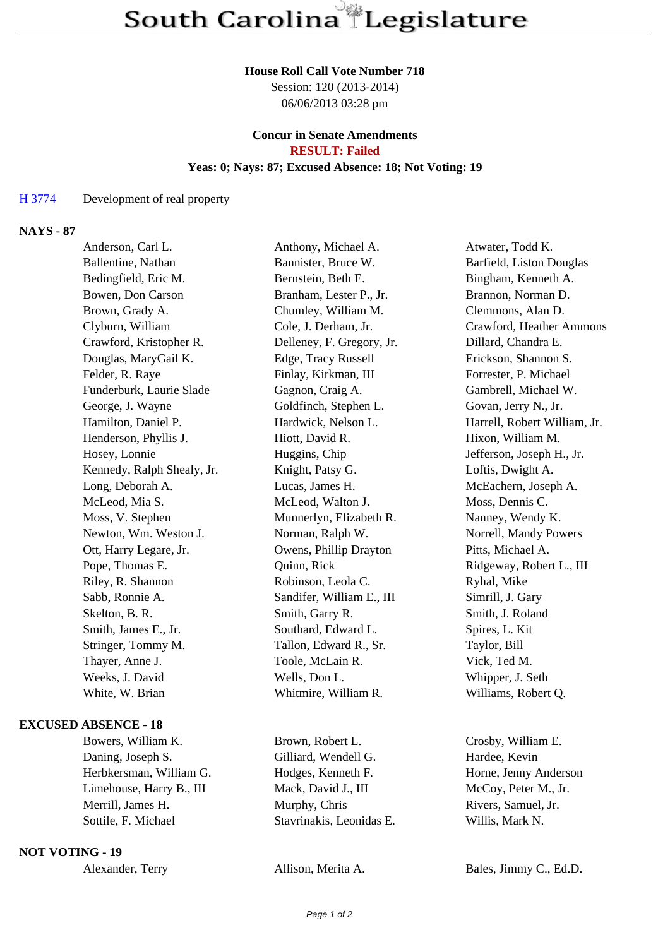#### **House Roll Call Vote Number 718**

Session: 120 (2013-2014) 06/06/2013 03:28 pm

### **Concur in Senate Amendments RESULT: Failed**

## **Yeas: 0; Nays: 87; Excused Absence: 18; Not Voting: 19**

### H 3774 Development of real property

### **NAYS - 87**

| Anderson, Carl L.          | Anthony, Michael A.       | Atwater, Todd K.             |
|----------------------------|---------------------------|------------------------------|
| Ballentine, Nathan         | Bannister, Bruce W.       | Barfield, Liston Douglas     |
| Bedingfield, Eric M.       | Bernstein, Beth E.        | Bingham, Kenneth A.          |
| Bowen, Don Carson          | Branham, Lester P., Jr.   | Brannon, Norman D.           |
| Brown, Grady A.            | Chumley, William M.       | Clemmons, Alan D.            |
| Clyburn, William           | Cole, J. Derham, Jr.      | Crawford, Heather Ammons     |
| Crawford, Kristopher R.    | Delleney, F. Gregory, Jr. | Dillard, Chandra E.          |
| Douglas, MaryGail K.       | Edge, Tracy Russell       | Erickson, Shannon S.         |
| Felder, R. Raye            | Finlay, Kirkman, III      | Forrester, P. Michael        |
| Funderburk, Laurie Slade   | Gagnon, Craig A.          | Gambrell, Michael W.         |
| George, J. Wayne           | Goldfinch, Stephen L.     | Govan, Jerry N., Jr.         |
| Hamilton, Daniel P.        | Hardwick, Nelson L.       | Harrell, Robert William, Jr. |
| Henderson, Phyllis J.      | Hiott, David R.           | Hixon, William M.            |
| Hosey, Lonnie              | Huggins, Chip             | Jefferson, Joseph H., Jr.    |
| Kennedy, Ralph Shealy, Jr. | Knight, Patsy G.          | Loftis, Dwight A.            |
| Long, Deborah A.           | Lucas, James H.           | McEachern, Joseph A.         |
| McLeod, Mia S.             | McLeod, Walton J.         | Moss, Dennis C.              |
| Moss, V. Stephen           | Munnerlyn, Elizabeth R.   | Nanney, Wendy K.             |
| Newton, Wm. Weston J.      | Norman, Ralph W.          | Norrell, Mandy Powers        |
| Ott, Harry Legare, Jr.     | Owens, Phillip Drayton    | Pitts, Michael A.            |
| Pope, Thomas E.            | Quinn, Rick               | Ridgeway, Robert L., III     |
| Riley, R. Shannon          | Robinson, Leola C.        | Ryhal, Mike                  |
| Sabb, Ronnie A.            | Sandifer, William E., III | Simrill, J. Gary             |
| Skelton, B. R.             | Smith, Garry R.           | Smith, J. Roland             |
| Smith, James E., Jr.       | Southard, Edward L.       | Spires, L. Kit               |
| Stringer, Tommy M.         | Tallon, Edward R., Sr.    | Taylor, Bill                 |
| Thayer, Anne J.            | Toole, McLain R.          | Vick, Ted M.                 |
| Weeks, J. David            | Wells, Don L.             | Whipper, J. Seth             |
| White, W. Brian            | Whitmire, William R.      | Williams, Robert Q.          |
|                            |                           |                              |

# **EXCUSED ABSENCE - 18**

Daning, Joseph S. Gilliard, Wendell G. Hardee, Kevin Herbkersman, William G. Hodges, Kenneth F. Horne, Jenny Anderson Limehouse, Harry B., III Mack, David J., III McCoy, Peter M., Jr. Merrill, James H. Murphy, Chris Rivers, Samuel, Jr. Sottile, F. Michael Stavrinakis, Leonidas E. Willis, Mark N.

#### **NOT VOTING - 19**

Bowers, William K. Brown, Robert L. Crosby, William E.

Alexander, Terry Allison, Merita A. Bales, Jimmy C., Ed.D.